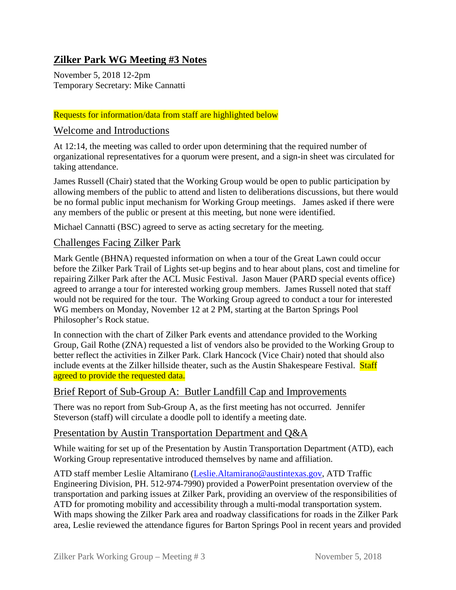# **Zilker Park WG Meeting #3 Notes**

November 5, 2018 12-2pm Temporary Secretary: Mike Cannatti

#### Requests for information/data from staff are highlighted below

#### Welcome and Introductions

At 12:14, the meeting was called to order upon determining that the required number of organizational representatives for a quorum were present, and a sign-in sheet was circulated for taking attendance.

James Russell (Chair) stated that the Working Group would be open to public participation by allowing members of the public to attend and listen to deliberations discussions, but there would be no formal public input mechanism for Working Group meetings. James asked if there were any members of the public or present at this meeting, but none were identified.

Michael Cannatti (BSC) agreed to serve as acting secretary for the meeting.

### Challenges Facing Zilker Park

Mark Gentle (BHNA) requested information on when a tour of the Great Lawn could occur before the Zilker Park Trail of Lights set-up begins and to hear about plans, cost and timeline for repairing Zilker Park after the ACL Music Festival. Jason Mauer (PARD special events office) agreed to arrange a tour for interested working group members. James Russell noted that staff would not be required for the tour. The Working Group agreed to conduct a tour for interested WG members on Monday, November 12 at 2 PM, starting at the Barton Springs Pool Philosopher's Rock statue.

In connection with the chart of Zilker Park events and attendance provided to the Working Group, Gail Rothe (ZNA) requested a list of vendors also be provided to the Working Group to better reflect the activities in Zilker Park. Clark Hancock (Vice Chair) noted that should also include events at the Zilker hillside theater, such as the Austin Shakespeare Festival. Staff agreed to provide the requested data.

#### Brief Report of Sub-Group A: Butler Landfill Cap and Improvements

There was no report from Sub-Group A, as the first meeting has not occurred. Jennifer Steverson (staff) will circulate a doodle poll to identify a meeting date.

#### Presentation by Austin Transportation Department and Q&A

While waiting for set up of the Presentation by Austin Transportation Department (ATD), each Working Group representative introduced themselves by name and affiliation.

ATD staff member Leslie Altamirano [\(Leslie.Altamirano@austintexas.gov,](mailto:Leslie.Altamirano@austintexas.gov) ATD Traffic Engineering Division, PH. 512-974-7990) provided a PowerPoint presentation overview of the transportation and parking issues at Zilker Park, providing an overview of the responsibilities of ATD for promoting mobility and accessibility through a multi-modal transportation system. With maps showing the Zilker Park area and roadway classifications for roads in the Zilker Park area, Leslie reviewed the attendance figures for Barton Springs Pool in recent years and provided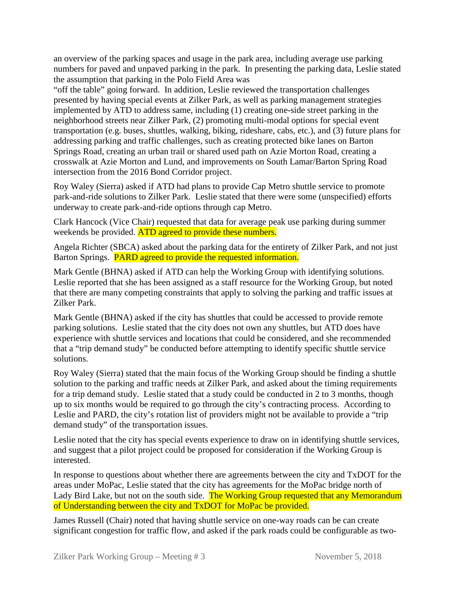an overview of the parking spaces and usage in the park area, including average use parking numbers for paved and unpaved parking in the park. In presenting the parking data, Leslie stated the assumption that parking in the Polo Field Area was

"off the table" going forward. In addition, Leslie reviewed the transportation challenges presented by having special events at Zilker Park, as well as parking management strategies implemented by ATD to address same, including (1) creating one-side street parking in the neighborhood streets near Zilker Park, (2) promoting multi-modal options for special event transportation (e.g. buses, shuttles, walking, biking, rideshare, cabs, etc.), and (3) future plans for addressing parking and traffic challenges, such as creating protected bike lanes on Barton Springs Road, creating an urban trail or shared used path on Azie Morton Road, creating a crosswalk at Azie Morton and Lund, and improvements on South Lamar/Barton Spring Road intersection from the 2016 Bond Corridor project.

Roy Waley (Sierra) asked if ATD had plans to provide Cap Metro shuttle service to promote park-and-ride solutions to Zilker Park. Leslie stated that there were some (unspecified) efforts underway to create park-and-ride options through cap Metro.

Clark Hancock (Vice Chair) requested that data for average peak use parking during summer weekends be provided. ATD agreed to provide these numbers.

Angela Richter (SBCA) asked about the parking data for the entirety of Zilker Park, and not just Barton Springs. PARD agreed to provide the requested information.

Mark Gentle (BHNA) asked if ATD can help the Working Group with identifying solutions. Leslie reported that she has been assigned as a staff resource for the Working Group, but noted that there are many competing constraints that apply to solving the parking and traffic issues at Zilker Park.

Mark Gentle (BHNA) asked if the city has shuttles that could be accessed to provide remote parking solutions. Leslie stated that the city does not own any shuttles, but ATD does have experience with shuttle services and locations that could be considered, and she recommended that a "trip demand study" be conducted before attempting to identify specific shuttle service solutions.

Roy Waley (Sierra) stated that the main focus of the Working Group should be finding a shuttle solution to the parking and traffic needs at Zilker Park, and asked about the timing requirements for a trip demand study. Leslie stated that a study could be conducted in 2 to 3 months, though up to six months would be required to go through the city's contracting process. According to Leslie and PARD, the city's rotation list of providers might not be available to provide a "trip demand study" of the transportation issues.

Leslie noted that the city has special events experience to draw on in identifying shuttle services, and suggest that a pilot project could be proposed for consideration if the Working Group is interested.

In response to questions about whether there are agreements between the city and TxDOT for the areas under MoPac, Leslie stated that the city has agreements for the MoPac bridge north of Lady Bird Lake, but not on the south side. The Working Group requested that any Memorandum of Understanding between the city and TxDOT for MoPac be provided.

James Russell (Chair) noted that having shuttle service on one-way roads can be can create significant congestion for traffic flow, and asked if the park roads could be configurable as two-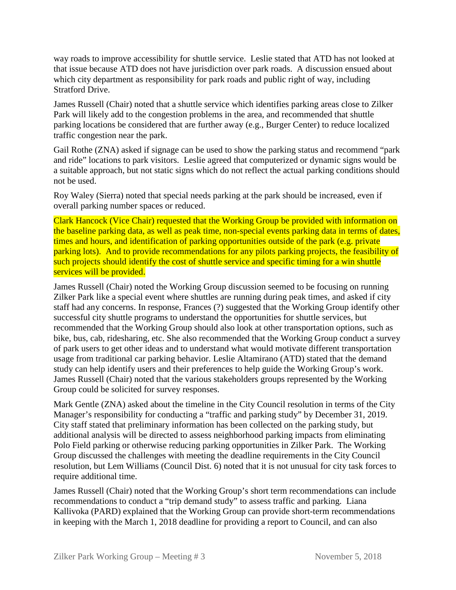way roads to improve accessibility for shuttle service. Leslie stated that ATD has not looked at that issue because ATD does not have jurisdiction over park roads. A discussion ensued about which city department as responsibility for park roads and public right of way, including Stratford Drive.

James Russell (Chair) noted that a shuttle service which identifies parking areas close to Zilker Park will likely add to the congestion problems in the area, and recommended that shuttle parking locations be considered that are further away (e.g., Burger Center) to reduce localized traffic congestion near the park.

Gail Rothe (ZNA) asked if signage can be used to show the parking status and recommend "park and ride" locations to park visitors. Leslie agreed that computerized or dynamic signs would be a suitable approach, but not static signs which do not reflect the actual parking conditions should not be used.

Roy Waley (Sierra) noted that special needs parking at the park should be increased, even if overall parking number spaces or reduced.

Clark Hancock (Vice Chair) requested that the Working Group be provided with information on the baseline parking data, as well as peak time, non-special events parking data in terms of dates, times and hours, and identification of parking opportunities outside of the park (e.g. private parking lots). And to provide recommendations for any pilots parking projects, the feasibility of such projects should identify the cost of shuttle service and specific timing for a win shuttle services will be provided.

James Russell (Chair) noted the Working Group discussion seemed to be focusing on running Zilker Park like a special event where shuttles are running during peak times, and asked if city staff had any concerns. In response, Frances (?) suggested that the Working Group identify other successful city shuttle programs to understand the opportunities for shuttle services, but recommended that the Working Group should also look at other transportation options, such as bike, bus, cab, ridesharing, etc. She also recommended that the Working Group conduct a survey of park users to get other ideas and to understand what would motivate different transportation usage from traditional car parking behavior. Leslie Altamirano (ATD) stated that the demand study can help identify users and their preferences to help guide the Working Group's work. James Russell (Chair) noted that the various stakeholders groups represented by the Working Group could be solicited for survey responses.

Mark Gentle (ZNA) asked about the timeline in the City Council resolution in terms of the City Manager's responsibility for conducting a "traffic and parking study" by December 31, 2019. City staff stated that preliminary information has been collected on the parking study, but additional analysis will be directed to assess neighborhood parking impacts from eliminating Polo Field parking or otherwise reducing parking opportunities in Zilker Park. The Working Group discussed the challenges with meeting the deadline requirements in the City Council resolution, but Lem Williams (Council Dist. 6) noted that it is not unusual for city task forces to require additional time.

James Russell (Chair) noted that the Working Group's short term recommendations can include recommendations to conduct a "trip demand study" to assess traffic and parking. Liana Kallivoka (PARD) explained that the Working Group can provide short-term recommendations in keeping with the March 1, 2018 deadline for providing a report to Council, and can also